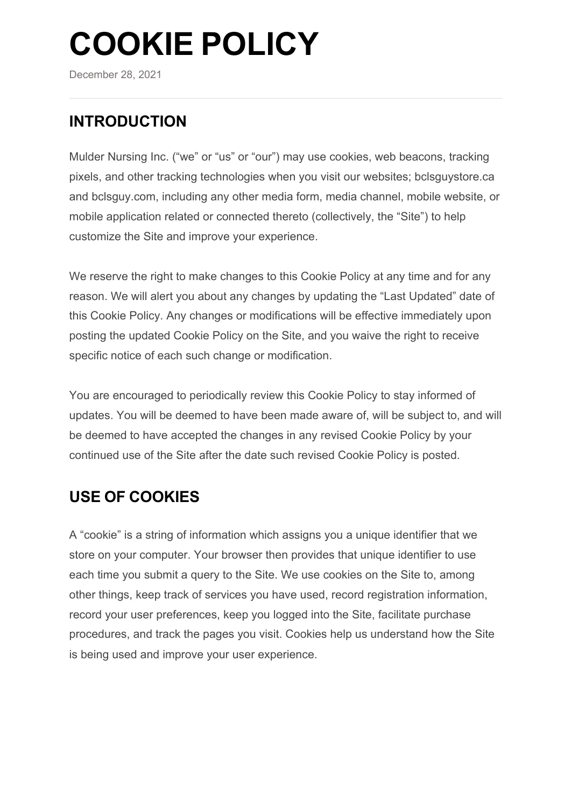# **COOKIE POLICY**

December 28, 2021

# **INTRODUCTION**

Mulder Nursing Inc. ("we" or "us" or "our") may use cookies, web beacons, tracking pixels, and other tracking technologies when you visit our websites; bclsguystore.ca and bclsguy.com, including any other media form, media channel, mobile website, or mobile application related or connected thereto (collectively, the "Site") to help customize the Site and improve your experience.

We reserve the right to make changes to this Cookie Policy at any time and for any reason. We will alert you about any changes by updating the "Last Updated" date of this Cookie Policy. Any changes or modifications will be effective immediately upon posting the updated Cookie Policy on the Site, and you waive the right to receive specific notice of each such change or modification.

You are encouraged to periodically review this Cookie Policy to stay informed of updates. You will be deemed to have been made aware of, will be subject to, and will be deemed to have accepted the changes in any revised Cookie Policy by your continued use of the Site after the date such revised Cookie Policy is posted.

## **USE OF COOKIES**

A "cookie" is a string of information which assigns you a unique identifier that we store on your computer. Your browser then provides that unique identifier to use each time you submit a query to the Site. We use cookies on the Site to, among other things, keep track of services you have used, record registration information, record your user preferences, keep you logged into the Site, facilitate purchase procedures, and track the pages you visit. Cookies help us understand how the Site is being used and improve your user experience.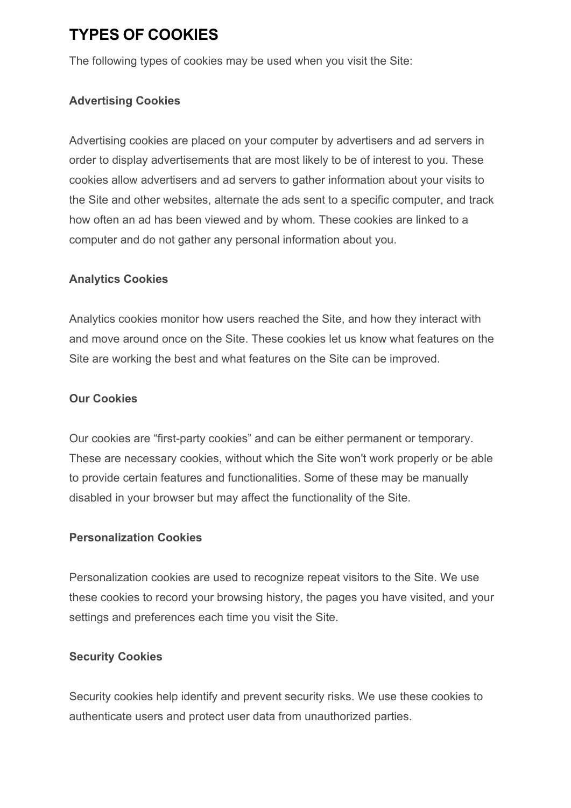## **TYPES OF COOKIES**

The following types of cookies may be used when you visit the Site:

#### **Advertising Cookies**

Advertising cookies are placed on your computer by advertisers and ad servers in order to display advertisements that are most likely to be of interest to you. These cookies allow advertisers and ad servers to gather information about your visits to the Site and other websites, alternate the ads sent to a specific computer, and track how often an ad has been viewed and by whom. These cookies are linked to a computer and do not gather any personal information about you.

#### **Analytics Cookies**

Analytics cookies monitor how users reached the Site, and how they interact with and move around once on the Site. These cookies let us know what features on the Site are working the best and what features on the Site can be improved.

#### **Our Cookies**

Our cookies are "first-party cookies" and can be either permanent or temporary. These are necessary cookies, without which the Site won't work properly or be able to provide certain features and functionalities. Some of these may be manually disabled in your browser but may affect the functionality of the Site.

#### **Personalization Cookies**

Personalization cookies are used to recognize repeat visitors to the Site. We use these cookies to record your browsing history, the pages you have visited, and your settings and preferences each time you visit the Site.

#### **Security Cookies**

Security cookies help identify and prevent security risks. We use these cookies to authenticate users and protect user data from unauthorized parties.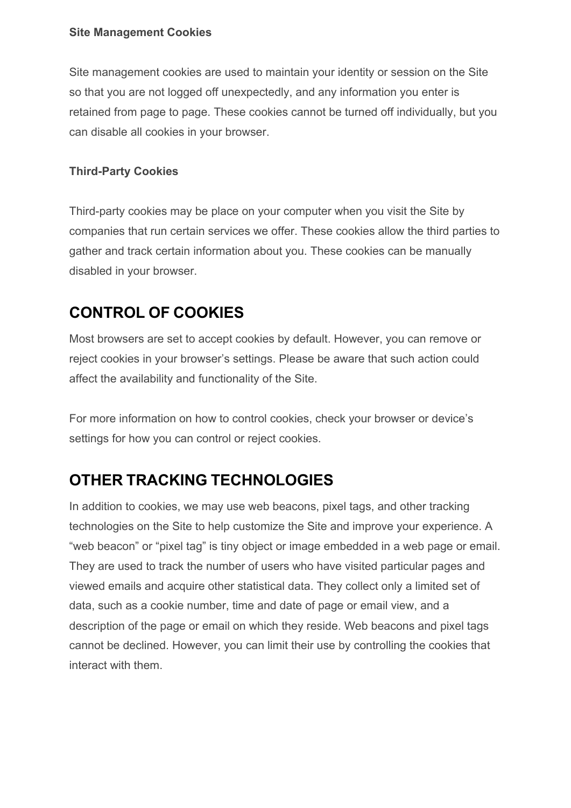#### **Site Management Cookies**

Site management cookies are used to maintain your identity or session on the Site so that you are not logged off unexpectedly, and any information you enter is retained from page to page. These cookies cannot be turned off individually, but you can disable all cookies in your browser.

#### **Third-Party Cookies**

Third-party cookies may be place on your computer when you visit the Site by companies that run certain services we offer. These cookies allow the third parties to gather and track certain information about you. These cookies can be manually disabled in your browser.

## **CONTROL OF COOKIES**

Most browsers are set to accept cookies by default. However, you can remove or reject cookies in your browser's settings. Please be aware that such action could affect the availability and functionality of the Site.

For more information on how to control cookies, check your browser or device's settings for how you can control or reject cookies.

## **OTHER TRACKING TECHNOLOGIES**

In addition to cookies, we may use web beacons, pixel tags, and other tracking technologies on the Site to help customize the Site and improve your experience. A "web beacon" or "pixel tag" is tiny object or image embedded in a web page or email. They are used to track the number of users who have visited particular pages and viewed emails and acquire other statistical data. They collect only a limited set of data, such as a cookie number, time and date of page or email view, and a description of the page or email on which they reside. Web beacons and pixel tags cannot be declined. However, you can limit their use by controlling the cookies that interact with them.